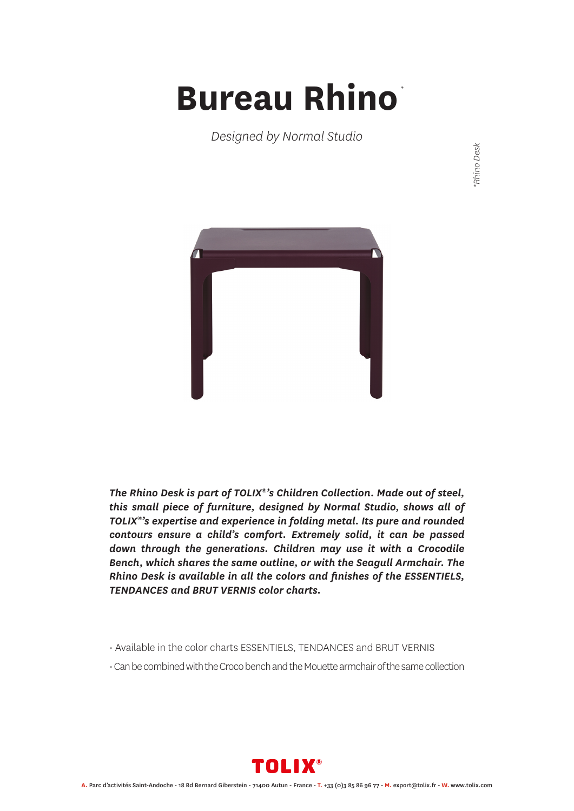## **Bureau Rhino** *\**

*Designed by Normal Studio*

Rhino Desk *\*Rhino Desk*



*The Rhino Desk is part of TOLIX®'s Children Collection. Made out of steel, this small piece of furniture, designed by Normal Studio, shows all of TOLIX®'s expertise and experience in folding metal. Its pure and rounded contours ensure a child's comfort. Extremely solid, it can be passed down through the generations. Children may use it with a Crocodile Bench, which shares the same outline, or with the Seagull Armchair. The Rhino Desk is available in all the colors and finishes of the ESSENTIELS, TENDANCES and BRUT VERNIS color charts.*

- Available in the color charts ESSENTIELS, TENDANCES and BRUT VERNIS
- Can be combined with the Croco bench and the Mouette armchair of the same collection